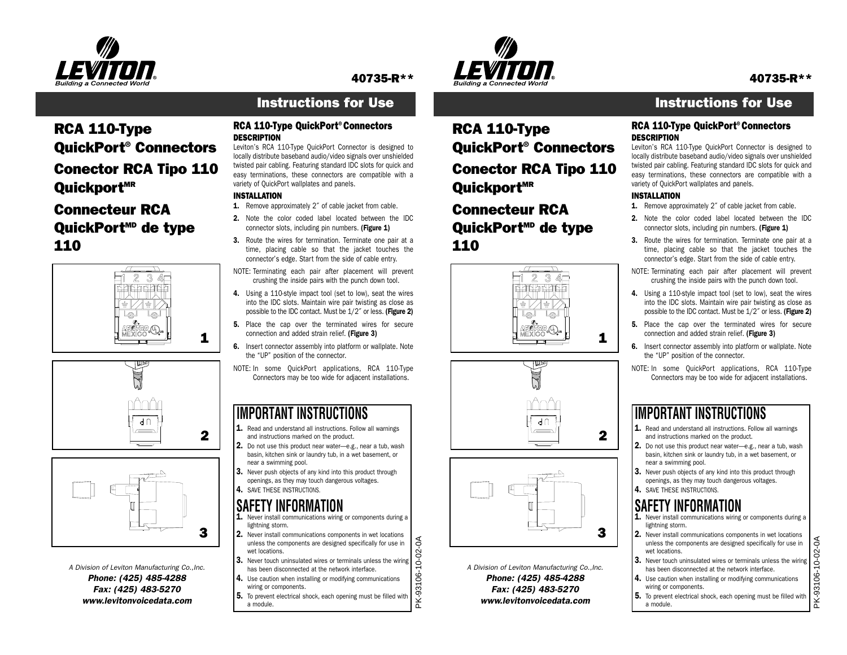

### 40735-R\*\*

### Instructions for Use

## RCA 110-Type QuickPort® Connectors Conector RCA Tipo 110 Ouickport<sup>MR</sup>

### Connecteur RCAQuickPort<sup>MD</sup> de type 110







*A Division of Leviton Manufacturing Co.,Inc. Phone: (425) 485-4288 Fax: (425) 483-5270 www.levitonvoicedata.com*

#### RCA 110-Type QuickPort® Connectors **DESCRIPTION**

 Leviton's RCA 110-Type QuickPort Connector is designed to locally distribute baseband audio/video signals over unshielded twisted pair cabling. Featuring standard IDC slots for quick and easy terminations, these connectors are compatible with a variety of QuickPort wallplates and panels.

### INSTALLATION

- 1. Remove approximately 2" of cable jacket from cable.
- 2. Note the color coded label located between the IDCconnector slots, including pin numbers. (Figure 1)
- 3. Route the wires for termination. Terminate one pair at a time, placing cable so that the jacket touches the connector's edge. Start from the side of cable entry.
- NOTE: Terminating each pair after placement will prevent crushing the inside pairs with the punch down tool.
- 4. Using a 110-style impact tool (set to low), seat the wires into the IDC slots. Maintain wire pair twisting as close as possible to the IDC contact. Must be 1/2" or less. (Figure 2)
- 5. Place the cap over the terminated wires for secure connection and added strain relief. (Figure 3)
- **6.** Insert connector assembly into platform or wallplate. Note the "UP" position of the connector.
- NOTE: In some QuickPort applications, RCA 110-Type Connectors may be too wide for adjacent installations.

### **IMPORTANT INSTRUCTIONS**

- $\mathbf 1$ . Read and understand all instructions. Follow all warnings and instructions marked on the product.
- 2. Do not use this product near water—e.g., near a tub, wash basin, kitchen sink or laundry tub, in a wet basement, or near a swimming pool.
- 3. Never push objects of any kind into this product through openings, as they may touch dangerous voltages. **4.** SAVE THESE INSTRUCTIONS.

## **SAFETY INFORMATION**

- $1.$  Never install communications wiring or components during a lightning storm.
- 2. Never install communications components in wet locations unless the components are designed specifically for use in wet locations.
- PK-93106-10-02-3. Never touch uninsulated wires or terminals unless the wiring has been disconnected at the network interface.

PK-93106-10-02-0A

 $\epsilon$ 

- 4. Use caution when installing or modifying communications wiring or components.
- 5. To prevent electrical shock, each opening must be filled with a module.



RCA 110-Type

Ouickport<sup>MR</sup>

110

Connecteur RCA

QuickPort<sup>MD</sup> de type

ァ -3

QuickPort® Connectors

Conector RCA Tipo 110

### Instructions for Use

#### RCA 110-Type QuickPort® Connectors DESCRIPTION

 Leviton's RCA 110-Type QuickPort Connector is designed to locally distribute baseband audio/video signals over unshielded twisted pair cabling. Featuring standard IDC slots for quick and easy terminations, these connectors are compatible with a variety of QuickPort wallplates and panels.

#### INSTALLATION

1

2

3

*A Division of Leviton Manufacturing Co.,Inc. Phone: (425) 485-4288 Fax: (425) 483-5270 www.levitonvoicedata.com*

 $d<sub>0</sub>$ 

- 1. Remove approximately 2" of cable jacket from cable.
- 2. Note the color coded label located between the IDCconnector slots, including pin numbers. (Figure 1)
- 3. Route the wires for termination. Terminate one pair at a time, placing cable so that the jacket touches the connector's edge. Start from the side of cable entry.
- NOTE: Terminating each pair after placement will prevent crushing the inside pairs with the punch down tool.
- 4. Using a 110-style impact tool (set to low), seat the wires into the IDC slots. Maintain wire pair twisting as close as possible to the IDC contact. Must be 1/2˝ or less. (Figure 2)
- 5. Place the cap over the terminated wires for secure connection and added strain relief. (Figure 3)
- **6.** Insert connector assembly into platform or wallplate. Note the "UP" position of the connector.
- NOTE: In some QuickPort applications, RCA 110-Type Connectors may be too wide for adjacent installations.

### **IMPORTANT INSTRUCTIONS**

- $\mathbf 1$ . Read and understand all instructions. Follow all warnings and instructions marked on the product.
- 2. Do not use this product near water—e.g., near a tub, wash basin, kitchen sink or laundry tub, in a wet basement, or near a swimming pool.
- 3. Never push objects of any kind into this product through openings, as they may touch dangerous voltages. **4.** SAVE THESE INSTRUCTIONS.
- **SAFETY INFORMATION**
- $1.$  Never install communications wiring or components during a lightning storm.
- 2. Never install communications components in wet locations unless the components are designed specifically for use in wet locations.
- 3. Never touch uninsulated wires or terminals unless the wiring has been disconnected at the network interface.
- 4. Use caution when installing or modifying communications wiring or components.
- 5. To prevent electrical shock, each opening must be filled with a module.

PK-93106-10-02-0A PK-93106-10-02-0A

40735-R\*\*